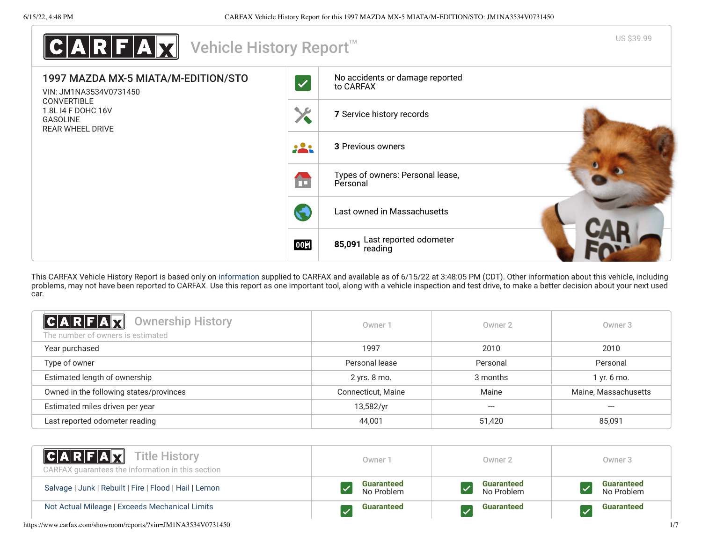

This CARFAX Vehicle History Report is based only on [information](http://www.carfax.com/company/vhr-data-sources) supplied to CARFAX and available as of 6/15/22 at 3:48:05 PM (CDT). Other information about this vehicle, including problems, may not have been reported to CARFAX. Use this report as one important tool, along with a vehicle inspection and test drive, to make a better decision about your next used car.

<span id="page-0-0"></span>

| C A R F A X<br><b>Ownership History</b><br>The number of owners is estimated | Owner 1            | Owner 2  | Owner <sub>3</sub>   |
|------------------------------------------------------------------------------|--------------------|----------|----------------------|
| Year purchased                                                               | 1997               | 2010     | 2010                 |
| Type of owner                                                                | Personal lease     | Personal | Personal             |
| Estimated length of ownership                                                | 2 yrs. 8 mo.       | 3 months | 1 yr. 6 mo.          |
| Owned in the following states/provinces                                      | Connecticut, Maine | Maine    | Maine, Massachusetts |
| Estimated miles driven per year                                              | 13,582/yr          | ---      | ---                  |
| Last reported odometer reading                                               | 44,001             | 51,420   | 85,091               |

| <b>CARFAX</b> Title History<br>CARFAX guarantees the information in this section | Owner <sup>:</sup>              | Owner 2                         | Owner 3                         |
|----------------------------------------------------------------------------------|---------------------------------|---------------------------------|---------------------------------|
| Salvage   Junk   Rebuilt   Fire   Flood   Hail   Lemon                           | <b>Guaranteed</b><br>No Problem | <b>Guaranteed</b><br>No Problem | <b>Guaranteed</b><br>No Problem |
| Not Actual Mileage   Exceeds Mechanical Limits                                   | <b>Guaranteed</b>               | <b>Guaranteed</b>               | <b>Guaranteed</b>               |

https://www.carfax.com/showroom/reports/?vin=JM1NA3534V0731450 1/7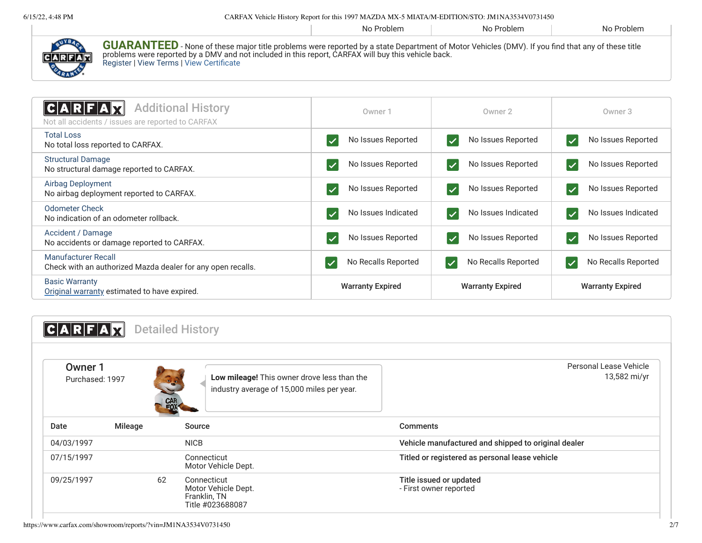6/15/22, 4:48 PM CARFAX Vehicle History Report for this 1997 MAZDA MX-5 MIATA/M-EDITION/STO: JM1NA3534V0731450

|                         |                                                                                                                                                                                                                                                                                                            | No Problem | No Problem | No Problem |
|-------------------------|------------------------------------------------------------------------------------------------------------------------------------------------------------------------------------------------------------------------------------------------------------------------------------------------------------|------------|------------|------------|
| $C$ $A$ $R$ $F$ $A$ $R$ | <b>GUARANTEED</b> - None of these major title problems were reported by a state Department of Motor Vehicles (DMV). If you find that any of these title<br>problems were reported by a DMV and not included in this report, CARFAX will buy this vehicle back.<br>Register   View Terms   View Certificate |            |            |            |

<span id="page-1-0"></span>

| <b>Additional History</b><br>ICARFAR<br>Not all accidents / issues are reported to CARFAX | Owner 1                                     | Owner 2                                          | Owner 3                                          |
|-------------------------------------------------------------------------------------------|---------------------------------------------|--------------------------------------------------|--------------------------------------------------|
| <b>Total Loss</b><br>No total loss reported to CARFAX.                                    | No Issues Reported                          | No Issues Reported<br>$\overline{\mathscr{S}}$   | No Issues Reported<br>$\overline{\mathcal{L}}$   |
| <b>Structural Damage</b><br>No structural damage reported to CARFAX.                      | No Issues Reported                          | No Issues Reported<br>$\boldsymbol{\mathcal{U}}$ | No Issues Reported<br>$\boldsymbol{\mathcal{U}}$ |
| Airbag Deployment<br>No airbag deployment reported to CARFAX.                             | No Issues Reported                          | No Issues Reported                               | No Issues Reported                               |
| <b>Odometer Check</b><br>No indication of an odometer rollback.                           | No Issues Indicated                         | No Issues Indicated                              | No Issues Indicated                              |
| Accident / Damage<br>No accidents or damage reported to CARFAX.                           | No Issues Reported                          | No Issues Reported                               | No Issues Reported                               |
| <b>Manufacturer Recall</b><br>Check with an authorized Mazda dealer for any open recalls. | No Recalls Reported<br>$\blacktriangledown$ | No Recalls Reported<br>$\blacktriangledown$      | No Recalls Reported                              |
| <b>Basic Warranty</b><br>Original warranty estimated to have expired.                     | <b>Warranty Expired</b>                     | <b>Warranty Expired</b>                          | <b>Warranty Expired</b>                          |

<span id="page-1-1"></span>

| <b>CAR</b>                 |                |                 | <b>Detailed History</b>                                                                   |                                                     |
|----------------------------|----------------|-----------------|-------------------------------------------------------------------------------------------|-----------------------------------------------------|
| Owner 1<br>Purchased: 1997 |                | <b>EOR</b> (CON | Low mileage! This owner drove less than the<br>industry average of 15,000 miles per year. | Personal Lease Vehicle<br>13,582 mi/yr              |
| Date                       | <b>Mileage</b> |                 | Source                                                                                    | <b>Comments</b>                                     |
| 04/03/1997                 |                |                 | <b>NICB</b>                                                                               | Vehicle manufactured and shipped to original dealer |
| 07/15/1997                 |                |                 | Connecticut<br>Motor Vehicle Dept.                                                        | Titled or registered as personal lease vehicle      |
| 09/25/1997                 |                | 62              | Connecticut<br>Motor Vehicle Dept.<br>Franklin, TN<br>Title #023688087                    | Title issued or updated<br>- First owner reported   |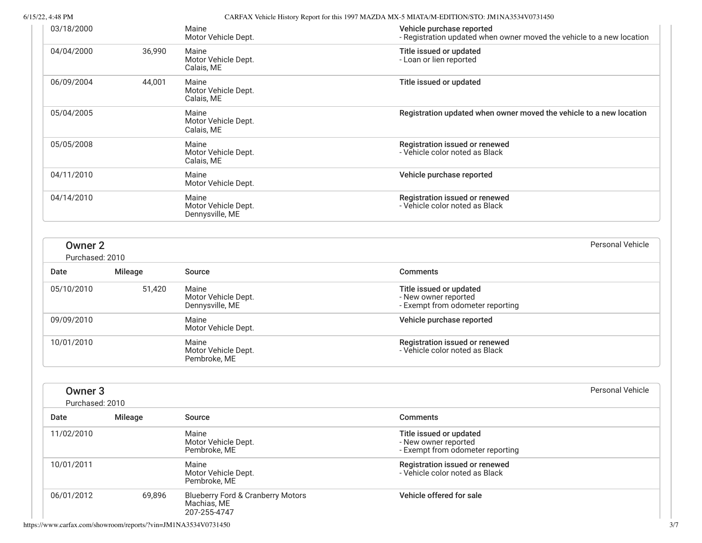6/15/22, 4:48 PM CARFAX Vehicle History Report for this 1997 MAZDA MX-5 MIATA/M-EDITION/STO: JM1NA3534V0731450

| 7722, 4.40 F.W                        |         |                                                                             | UANTAA VEHICIE FIISIOLY NEPOLUOL IIIIS 1997 IVIAZDA IVIA-5 IVILATATNI-EDITTIOIVASTO. JIVITINASSS4 VUTST450 |
|---------------------------------------|---------|-----------------------------------------------------------------------------|------------------------------------------------------------------------------------------------------------|
| 03/18/2000                            |         | Maine<br>Motor Vehicle Dept.                                                | Vehicle purchase reported<br>- Registration updated when owner moved the vehicle to a new location         |
| 04/04/2000                            | 36,990  | Maine<br>Motor Vehicle Dept.<br>Calais, ME                                  | Title issued or updated<br>- Loan or lien reported                                                         |
| 06/09/2004                            | 44,001  | Maine<br>Motor Vehicle Dept.<br>Calais, ME                                  | Title issued or updated                                                                                    |
| 05/04/2005                            |         | Maine<br>Motor Vehicle Dept.<br>Calais, ME                                  | Registration updated when owner moved the vehicle to a new location                                        |
| 05/05/2008                            |         | Maine<br>Motor Vehicle Dept.<br>Calais, ME                                  | Registration issued or renewed<br>- Vehicle color noted as Black                                           |
| 04/11/2010                            |         | Maine<br>Motor Vehicle Dept.                                                | Vehicle purchase reported                                                                                  |
| 04/14/2010                            |         | Maine<br>Motor Vehicle Dept.<br>Dennysville, ME                             | Registration issued or renewed<br>- Vehicle color noted as Black                                           |
| <b>Owner 2</b><br>Purchased: 2010     |         |                                                                             | Personal Vehicle                                                                                           |
| Date                                  | Mileage | Source                                                                      | <b>Comments</b>                                                                                            |
| 05/10/2010                            | 51,420  | Maine<br>Motor Vehicle Dept.<br>Dennysville, ME                             | Title issued or updated<br>- New owner reported<br>- Exempt from odometer reporting                        |
| 09/09/2010                            |         | Maine<br>Motor Vehicle Dept.                                                | Vehicle purchase reported                                                                                  |
| 10/01/2010                            |         | Maine<br>Motor Vehicle Dept.<br>Pembroke, ME                                | Registration issued or renewed<br>- Vehicle color noted as Black                                           |
| Owner <sub>3</sub><br>Purchased: 2010 |         |                                                                             | <b>Personal Vehicle</b>                                                                                    |
| Date                                  | Mileage | Source                                                                      | <b>Comments</b>                                                                                            |
| 11/02/2010                            |         | Maine<br>Motor Vehicle Dept.<br>Pembroke, ME                                | Title issued or updated<br>- New owner reported<br>- Exempt from odometer reporting                        |
| 10/01/2011                            |         | Maine<br>Motor Vehicle Dept.<br>Pembroke, ME                                | Registration issued or renewed<br>- Vehicle color noted as Black                                           |
| 06/01/2012                            | 69,896  | <b>Blueberry Ford &amp; Cranberry Motors</b><br>Machias, ME<br>207-255-4747 | Vehicle offered for sale                                                                                   |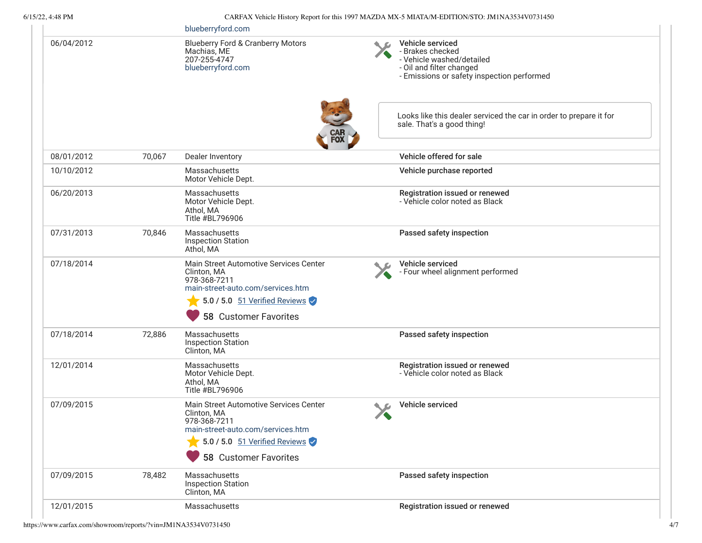# 6/15/22, 4:48 PM CARFAX Vehicle History Report for this 1997 MAZDA MX-5 MIATA/M-EDITION/STO: JM1NA3534V0731450

|            |        | blueberryford.com                                                                                                                                                        |                                                                                                                                             |
|------------|--------|--------------------------------------------------------------------------------------------------------------------------------------------------------------------------|---------------------------------------------------------------------------------------------------------------------------------------------|
| 06/04/2012 |        | <b>Blueberry Ford &amp; Cranberry Motors</b><br>Machias, ME<br>207-255-4747<br>blueberryford.com                                                                         | Vehicle serviced<br>- Brakes checked<br>- Vehicle washed/detailed<br>- Oil and filter changed<br>- Emissions or safety inspection performed |
|            |        | <b>CAR<br/>FOX</b>                                                                                                                                                       | Looks like this dealer serviced the car in order to prepare it for<br>sale. That's a good thing!                                            |
| 08/01/2012 | 70,067 | Dealer Inventory                                                                                                                                                         | Vehicle offered for sale                                                                                                                    |
| 10/10/2012 |        | Massachusetts<br>Motor Vehicle Dept.                                                                                                                                     | Vehicle purchase reported                                                                                                                   |
| 06/20/2013 |        | Massachusetts<br>Motor Vehicle Dept.<br>Athol, MA<br>Title #BL796906                                                                                                     | Registration issued or renewed<br>- Vehicle color noted as Black                                                                            |
| 07/31/2013 | 70,846 | Massachusetts<br><b>Inspection Station</b><br>Athol, MA                                                                                                                  | Passed safety inspection                                                                                                                    |
| 07/18/2014 |        | Main Street Automotive Services Center<br>Clinton, MA<br>978-368-7211<br>main-street-auto.com/services.htm<br>$5.0$ / 5.0 $51$ Verified Reviews<br>58 Customer Favorites | Vehicle serviced<br>- Four wheel alignment performed                                                                                        |
| 07/18/2014 | 72,886 | Massachusetts<br><b>Inspection Station</b><br>Clinton, MA                                                                                                                | Passed safety inspection                                                                                                                    |
| 12/01/2014 |        | Massachusetts<br>Motor Vehicle Dept.<br>Athol, MA<br>Title #BL796906                                                                                                     | Registration issued or renewed<br>- Vehicle color noted as Black                                                                            |
| 07/09/2015 |        | Main Street Automotive Services Center<br>Clinton, MA<br>978-368-7211<br>main-street-auto.com/services.htm<br>5.0 / 5.0 51 Verified Reviews<br>58 Customer Favorites     | Vehicle serviced                                                                                                                            |
| 07/09/2015 | 78,482 | Massachusetts<br><b>Inspection Station</b><br>Clinton, MA                                                                                                                | Passed safety inspection                                                                                                                    |
| 12/01/2015 |        | Massachusetts                                                                                                                                                            | Registration issued or renewed                                                                                                              |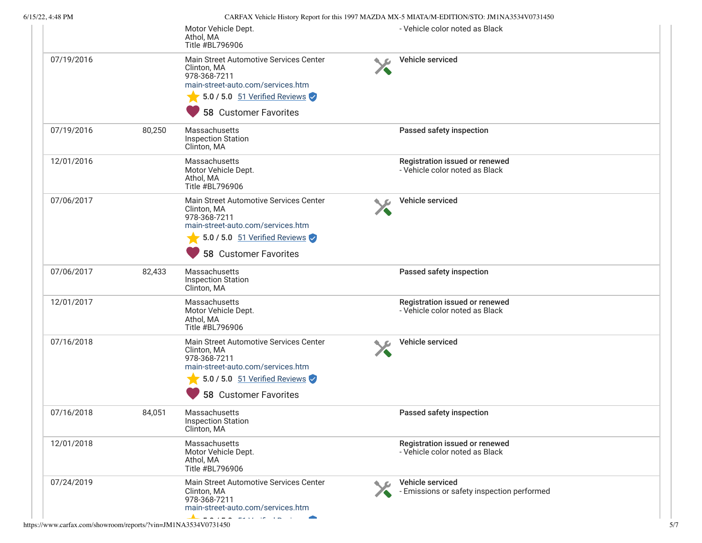| 6/15/22, 4:48 PM |        |                                                                                                                                                                             | CARFAX Vehicle History Report for this 1997 MAZDA MX-5 MIATA/M-EDITION/STO: JM1NA3534V0731450 |  |
|------------------|--------|-----------------------------------------------------------------------------------------------------------------------------------------------------------------------------|-----------------------------------------------------------------------------------------------|--|
|                  |        | Motor Vehicle Dept.<br>Athol, MA<br>Title #BL796906                                                                                                                         | - Vehicle color noted as Black                                                                |  |
| 07/19/2016       |        | Main Street Automotive Services Center<br>Clinton, MA<br>978-368-7211<br>main-street-auto.com/services.htm                                                                  | Vehicle serviced                                                                              |  |
|                  |        | 5.0 / 5.0 51 Verified Reviews<br><b>58 Customer Favorites</b>                                                                                                               |                                                                                               |  |
| 07/19/2016       | 80,250 | Massachusetts<br><b>Inspection Station</b><br>Clinton, MA                                                                                                                   | Passed safety inspection                                                                      |  |
| 12/01/2016       |        | Massachusetts<br>Motor Vehicle Dept.<br>Athol, MA<br>Title #BL796906                                                                                                        | Registration issued or renewed<br>- Vehicle color noted as Black                              |  |
| 07/06/2017       |        | Main Street Automotive Services Center<br>Clinton, MA<br>978-368-7211<br>main-street-auto.com/services.htm<br>5.0 / 5.0 51 Verified Reviews<br><b>58 Customer Favorites</b> | Vehicle serviced                                                                              |  |
| 07/06/2017       | 82,433 | Massachusetts<br><b>Inspection Station</b><br>Clinton, MA                                                                                                                   | Passed safety inspection                                                                      |  |
| 12/01/2017       |        | Massachusetts<br>Motor Vehicle Dept.<br>Athol, MA<br>Title #BL796906                                                                                                        | Registration issued or renewed<br>- Vehicle color noted as Black                              |  |
| 07/16/2018       |        | Main Street Automotive Services Center<br>Clinton, MA<br>978-368-7211<br>main-street-auto.com/services.htm<br>5.0 / 5.0 51 Verified Reviews                                 | Vehicle serviced                                                                              |  |
|                  |        | <b>58 Customer Favorites</b>                                                                                                                                                |                                                                                               |  |
| 07/16/2018       | 84,051 | Massachusetts<br><b>Inspection Station</b><br>Clinton, MA                                                                                                                   | Passed safety inspection                                                                      |  |
| 12/01/2018       |        | Massachusetts<br>Motor Vehicle Dept.<br>Athol, MA<br>Title #BL796906                                                                                                        | Registration issued or renewed<br>- Vehicle color noted as Black                              |  |
| 07/24/2019       |        | Main Street Automotive Services Center<br>Clinton, MA<br>978-368-7211<br>main-street-auto.com/services.htm                                                                  | Vehicle serviced<br>- Emissions or safety inspection performed                                |  |
|                  |        |                                                                                                                                                                             |                                                                                               |  |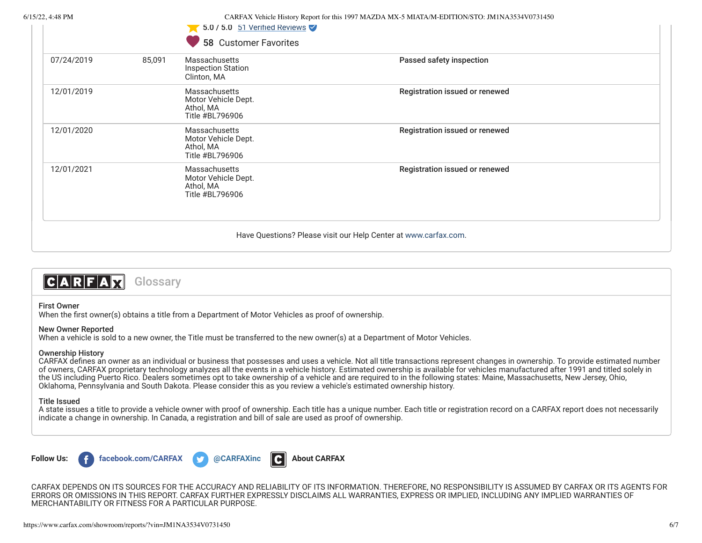$1 - 1$ 

6/15/22, 4:48 PM CARFAX Vehicle History Report for this 1997 MAZDA MX-5 MIATA/M-EDITION/STO: JM1NA3534V0731450

 $5.0 / 5.0$  51 Verified Deviews

| 07/24/2019 | 85,091 | Massachusetts<br><b>Inspection Station</b><br>Clinton, MA                   | Passed safety inspection       |  |
|------------|--------|-----------------------------------------------------------------------------|--------------------------------|--|
| 12/01/2019 |        | <b>Massachusetts</b><br>Motor Vehicle Dept.<br>Athol, MA<br>Title #BL796906 | Registration issued or renewed |  |
| 12/01/2020 |        | <b>Massachusetts</b><br>Motor Vehicle Dept.<br>Athol, MA<br>Title #BL796906 | Registration issued or renewed |  |
| 12/01/2021 |        | <b>Massachusetts</b><br>Motor Vehicle Dept.<br>Athol, MA<br>Title #BL796906 | Registration issued or renewed |  |



## First Owner

When the first owner(s) obtains a title from a Department of Motor Vehicles as proof of ownership.

# New Owner Reported

When a vehicle is sold to a new owner, the Title must be transferred to the new owner(s) at a Department of Motor Vehicles.

# Ownership History

CARFAX defines an owner as an individual or business that possesses and uses a vehicle. Not all title transactions represent changes in ownership. To provide estimated number of owners, CARFAX proprietary technology analyzes all the events in a vehicle history. Estimated ownership is available for vehicles manufactured after 1991 and titled solely in the US including Puerto Rico. Dealers sometimes opt to take ownership of a vehicle and are required to in the following states: Maine, Massachusetts, New Jersey, Ohio, Oklahoma, Pennsylvania and South Dakota. Please consider this as you review a vehicle's estimated ownership history.

## Title Issued

A state issues a title to provide a vehicle owner with proof of ownership. Each title has a unique number. Each title or registration record on a CARFAX report does not necessarily indicate a change in ownership. In Canada, a registration and bill of sale are used as proof of ownership.



CARFAX DEPENDS ON ITS SOURCES FOR THE ACCURACY AND RELIABILITY OF ITS INFORMATION. THEREFORE, NO RESPONSIBILITY IS ASSUMED BY CARFAX OR ITS AGENTS FOR ERRORS OR OMISSIONS IN THIS REPORT. CARFAX FURTHER EXPRESSLY DISCLAIMS ALL WARRANTIES, EXPRESS OR IMPLIED, INCLUDING ANY IMPLIED WARRANTIES OF MERCHANTABILITY OR FITNESS FOR A PARTICULAR PURPOSE.